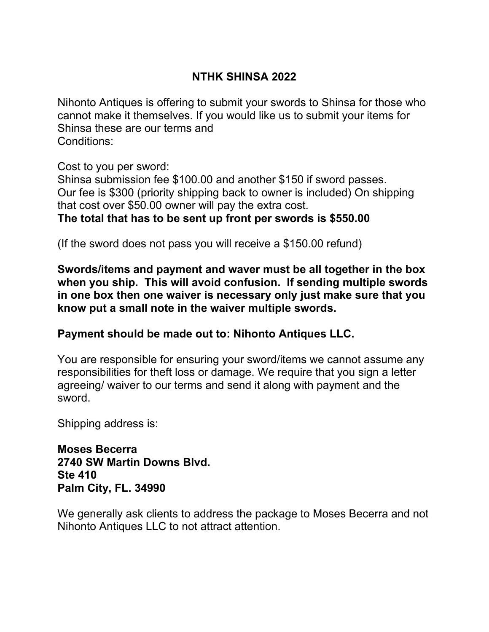### **NTHK SHINSA 2022**

Nihonto Antiques is offering to submit your swords to Shinsa for those who cannot make it themselves. If you would like us to submit your items for Shinsa these are our terms and Conditions:

Cost to you per sword:

Shinsa submission fee \$100.00 and another \$150 if sword passes. Our fee is \$300 (priority shipping back to owner is included) On shipping that cost over \$50.00 owner will pay the extra cost.

### **The total that has to be sent up front per swords is \$550.00**

(If the sword does not pass you will receive a \$150.00 refund)

**Swords/items and payment and waver must be all together in the box when you ship. This will avoid confusion. If sending multiple swords in one box then one waiver is necessary only just make sure that you know put a small note in the waiver multiple swords.**

### **Payment should be made out to: Nihonto Antiques LLC.**

You are responsible for ensuring your sword/items we cannot assume any responsibilities for theft loss or damage. We require that you sign a letter agreeing/ waiver to our terms and send it along with payment and the sword.

Shipping address is:

**Moses Becerra 2740 SW Martin Downs Blvd. Ste 410 Palm City, FL. 34990**

We generally ask clients to address the package to Moses Becerra and not Nihonto Antiques LLC to not attract attention.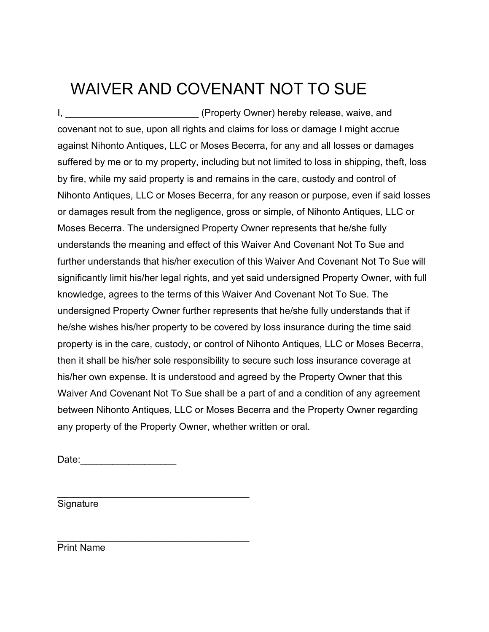# WAIVER AND COVENANT NOT TO SUE

I, \_\_\_\_\_\_\_\_\_\_\_\_\_\_\_\_\_\_\_\_\_\_\_\_\_\_\_\_\_\_\_ (Property Owner) hereby release, waive, and covenant not to sue, upon all rights and claims for loss or damage I might accrue against Nihonto Antiques, LLC or Moses Becerra, for any and all losses or damages suffered by me or to my property, including but not limited to loss in shipping, theft, loss by fire, while my said property is and remains in the care, custody and control of Nihonto Antiques, LLC or Moses Becerra, for any reason or purpose, even if said losses or damages result from the negligence, gross or simple, of Nihonto Antiques, LLC or Moses Becerra. The undersigned Property Owner represents that he/she fully understands the meaning and effect of this Waiver And Covenant Not To Sue and further understands that his/her execution of this Waiver And Covenant Not To Sue will significantly limit his/her legal rights, and yet said undersigned Property Owner, with full knowledge, agrees to the terms of this Waiver And Covenant Not To Sue. The undersigned Property Owner further represents that he/she fully understands that if he/she wishes his/her property to be covered by loss insurance during the time said property is in the care, custody, or control of Nihonto Antiques, LLC or Moses Becerra, then it shall be his/her sole responsibility to secure such loss insurance coverage at his/her own expense. It is understood and agreed by the Property Owner that this Waiver And Covenant Not To Sue shall be a part of and a condition of any agreement between Nihonto Antiques, LLC or Moses Becerra and the Property Owner regarding any property of the Property Owner, whether written or oral.

Date:\_\_\_\_\_\_\_\_\_\_\_\_\_\_\_\_\_\_

\_\_\_\_\_\_\_\_\_\_\_\_\_\_\_\_\_\_\_\_\_\_\_\_\_\_\_\_\_\_\_\_\_\_\_\_

\_\_\_\_\_\_\_\_\_\_\_\_\_\_\_\_\_\_\_\_\_\_\_\_\_\_\_\_\_\_\_\_\_\_\_\_

Signature

Print Name